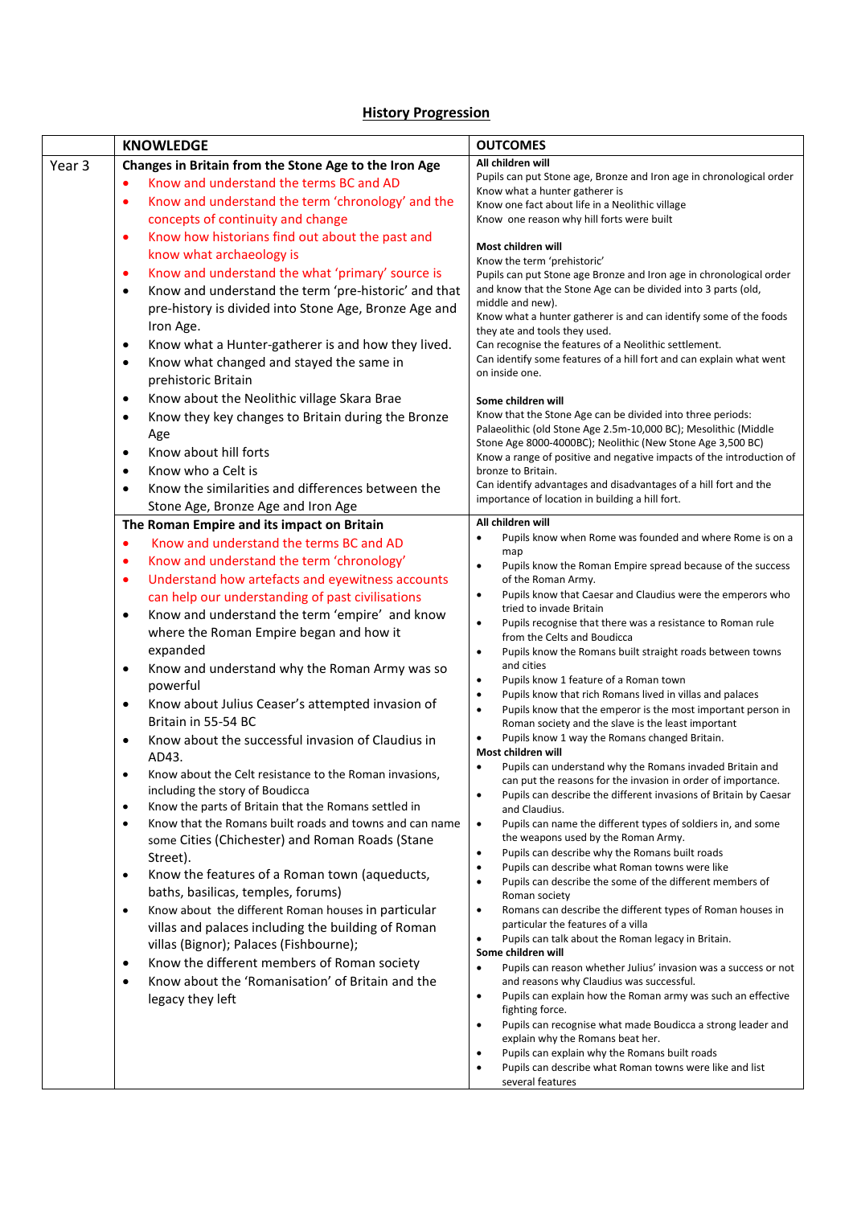## **History Progression**

|        | <b>KNOWLEDGE</b>                                                                          | <b>OUTCOMES</b>                                                                                                               |
|--------|-------------------------------------------------------------------------------------------|-------------------------------------------------------------------------------------------------------------------------------|
| Year 3 | Changes in Britain from the Stone Age to the Iron Age                                     | All children will                                                                                                             |
|        | Know and understand the terms BC and AD<br>$\bullet$                                      | Pupils can put Stone age, Bronze and Iron age in chronological order                                                          |
|        | Know and understand the term 'chronology' and the<br>$\bullet$                            | Know what a hunter gatherer is<br>Know one fact about life in a Neolithic village                                             |
|        | concepts of continuity and change                                                         | Know one reason why hill forts were built                                                                                     |
|        | Know how historians find out about the past and<br>٠                                      |                                                                                                                               |
|        | know what archaeology is                                                                  | Most children will<br>Know the term 'prehistoric'                                                                             |
|        | Know and understand the what 'primary' source is<br>$\bullet$                             | Pupils can put Stone age Bronze and Iron age in chronological order                                                           |
|        | Know and understand the term 'pre-historic' and that<br>$\bullet$                         | and know that the Stone Age can be divided into 3 parts (old,                                                                 |
|        | pre-history is divided into Stone Age, Bronze Age and                                     | middle and new).<br>Know what a hunter gatherer is and can identify some of the foods                                         |
|        | Iron Age.                                                                                 | they ate and tools they used.                                                                                                 |
|        | Know what a Hunter-gatherer is and how they lived.<br>٠                                   | Can recognise the features of a Neolithic settlement.                                                                         |
|        | Know what changed and stayed the same in<br>$\bullet$                                     | Can identify some features of a hill fort and can explain what went                                                           |
|        | prehistoric Britain                                                                       | on inside one.                                                                                                                |
|        | Know about the Neolithic village Skara Brae<br>$\bullet$                                  | Some children will                                                                                                            |
|        | Know they key changes to Britain during the Bronze<br>$\bullet$                           | Know that the Stone Age can be divided into three periods:                                                                    |
|        | Age                                                                                       | Palaeolithic (old Stone Age 2.5m-10,000 BC); Mesolithic (Middle<br>Stone Age 8000-4000BC); Neolithic (New Stone Age 3,500 BC) |
|        | Know about hill forts<br>$\bullet$                                                        | Know a range of positive and negative impacts of the introduction of                                                          |
|        | Know who a Celt is<br>$\bullet$                                                           | bronze to Britain.                                                                                                            |
|        | Know the similarities and differences between the<br>$\bullet$                            | Can identify advantages and disadvantages of a hill fort and the                                                              |
|        | Stone Age, Bronze Age and Iron Age                                                        | importance of location in building a hill fort.                                                                               |
|        | The Roman Empire and its impact on Britain                                                | All children will                                                                                                             |
|        | Know and understand the terms BC and AD<br>$\bullet$                                      | Pupils know when Rome was founded and where Rome is on a<br>map                                                               |
|        | Know and understand the term 'chronology'<br>٠                                            | Pupils know the Roman Empire spread because of the success<br>٠                                                               |
|        | Understand how artefacts and eyewitness accounts<br>٠                                     | of the Roman Army.                                                                                                            |
|        | can help our understanding of past civilisations                                          | Pupils know that Caesar and Claudius were the emperors who<br>tried to invade Britain                                         |
|        | Know and understand the term 'empire' and know<br>$\bullet$                               | Pupils recognise that there was a resistance to Roman rule<br>٠                                                               |
|        | where the Roman Empire began and how it                                                   | from the Celts and Boudicca                                                                                                   |
|        | expanded                                                                                  | Pupils know the Romans built straight roads between towns<br>$\bullet$                                                        |
|        | Know and understand why the Roman Army was so<br>$\bullet$                                | and cities<br>Pupils know 1 feature of a Roman town                                                                           |
|        | powerful                                                                                  | Pupils know that rich Romans lived in villas and palaces<br>٠                                                                 |
|        | Know about Julius Ceaser's attempted invasion of<br>$\bullet$                             | Pupils know that the emperor is the most important person in<br>$\bullet$                                                     |
|        | Britain in 55-54 BC                                                                       | Roman society and the slave is the least important                                                                            |
|        | Know about the successful invasion of Claudius in<br>٠                                    | Pupils know 1 way the Romans changed Britain.<br>Most children will                                                           |
|        | AD43.                                                                                     | Pupils can understand why the Romans invaded Britain and<br>$\bullet$                                                         |
|        | Know about the Celt resistance to the Roman invasions,<br>including the story of Boudicca | can put the reasons for the invasion in order of importance.                                                                  |
|        | Know the parts of Britain that the Romans settled in<br>$\bullet$                         | Pupils can describe the different invasions of Britain by Caesar<br>and Claudius.                                             |
|        | Know that the Romans built roads and towns and can name<br>$\bullet$                      | Pupils can name the different types of soldiers in, and some<br>$\bullet$                                                     |
|        | some Cities (Chichester) and Roman Roads (Stane                                           | the weapons used by the Roman Army.                                                                                           |
|        | Street).                                                                                  | Pupils can describe why the Romans built roads<br>Pupils can describe what Roman towns were like                              |
|        | Know the features of a Roman town (aqueducts,<br>$\bullet$                                | ٠<br>Pupils can describe the some of the different members of<br>$\bullet$                                                    |
|        | baths, basilicas, temples, forums)                                                        | Roman society                                                                                                                 |
|        | Know about the different Roman houses in particular<br>$\bullet$                          | Romans can describe the different types of Roman houses in<br>$\bullet$                                                       |
|        | villas and palaces including the building of Roman                                        | particular the features of a villa<br>Pupils can talk about the Roman legacy in Britain.                                      |
|        | villas (Bignor); Palaces (Fishbourne);                                                    | Some children will                                                                                                            |
|        | Know the different members of Roman society<br>٠                                          | Pupils can reason whether Julius' invasion was a success or not<br>$\bullet$                                                  |
|        | Know about the 'Romanisation' of Britain and the<br>$\bullet$                             | and reasons why Claudius was successful.                                                                                      |
|        | legacy they left                                                                          | Pupils can explain how the Roman army was such an effective<br>$\bullet$<br>fighting force.                                   |
|        |                                                                                           | Pupils can recognise what made Boudicca a strong leader and<br>٠                                                              |
|        |                                                                                           | explain why the Romans beat her.                                                                                              |
|        |                                                                                           | Pupils can explain why the Romans built roads<br>Pupils can describe what Roman towns were like and list                      |
|        |                                                                                           | several features                                                                                                              |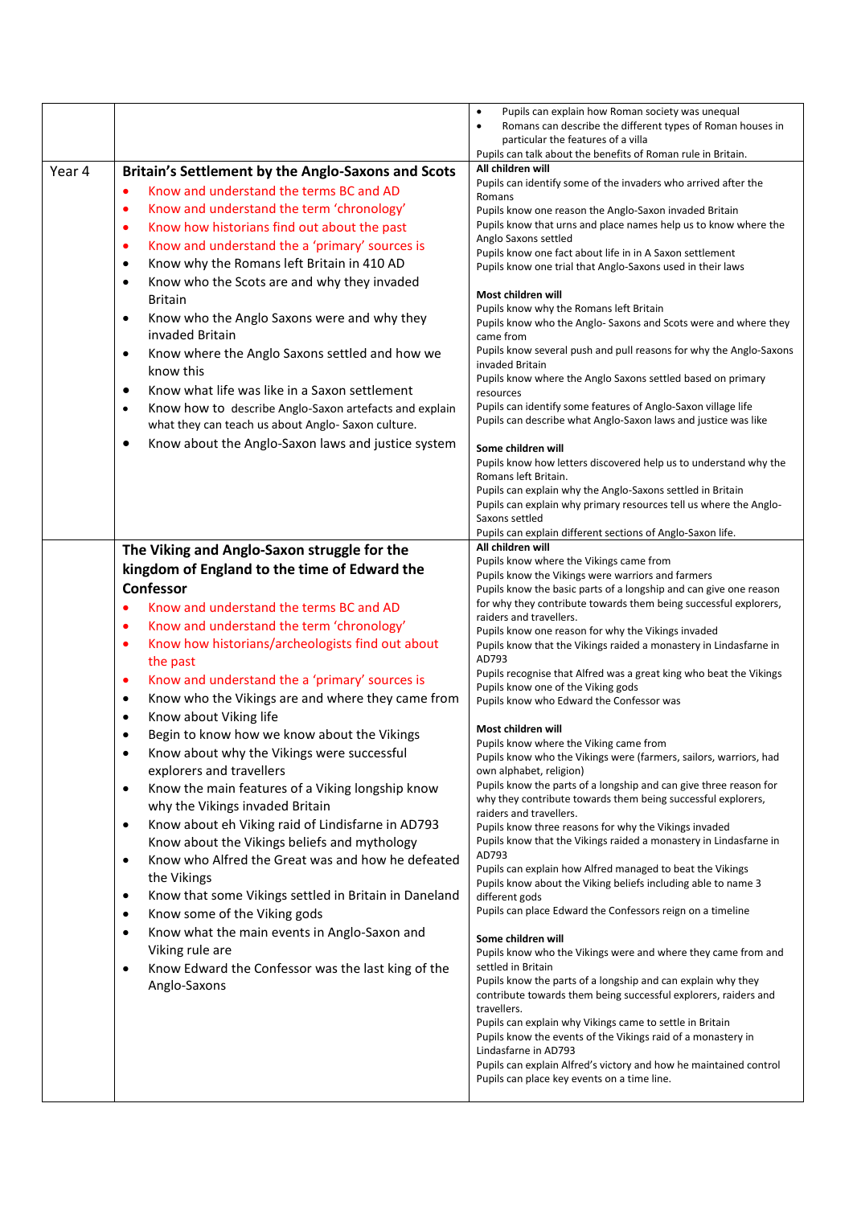| Year 4 | Britain's Settlement by the Anglo-Saxons and Scots<br>Know and understand the terms BC and AD<br>٠<br>Know and understand the term 'chronology'<br>٠<br>Know how historians find out about the past<br>٠<br>Know and understand the a 'primary' sources is<br>$\bullet$<br>Know why the Romans left Britain in 410 AD<br>$\bullet$<br>Know who the Scots are and why they invaded<br>$\bullet$<br><b>Britain</b><br>Know who the Anglo Saxons were and why they<br>$\bullet$<br>invaded Britain<br>Know where the Anglo Saxons settled and how we<br>$\bullet$<br>know this<br>Know what life was like in a Saxon settlement<br>٠<br>Know how to describe Anglo-Saxon artefacts and explain<br>$\bullet$<br>what they can teach us about Anglo- Saxon culture.<br>Know about the Anglo-Saxon laws and justice system<br>٠                                                                                                                                                                                                                                                                                                                                                                                       | Pupils can explain how Roman society was unequal<br>$\bullet$<br>Romans can describe the different types of Roman houses in<br>$\bullet$<br>particular the features of a villa<br>Pupils can talk about the benefits of Roman rule in Britain.<br>All children will<br>Pupils can identify some of the invaders who arrived after the<br>Romans<br>Pupils know one reason the Anglo-Saxon invaded Britain<br>Pupils know that urns and place names help us to know where the<br>Anglo Saxons settled<br>Pupils know one fact about life in in A Saxon settlement<br>Pupils know one trial that Anglo-Saxons used in their laws<br>Most children will<br>Pupils know why the Romans left Britain<br>Pupils know who the Anglo-Saxons and Scots were and where they<br>came from<br>Pupils know several push and pull reasons for why the Anglo-Saxons<br>invaded Britain<br>Pupils know where the Anglo Saxons settled based on primary<br>resources<br>Pupils can identify some features of Anglo-Saxon village life<br>Pupils can describe what Anglo-Saxon laws and justice was like<br>Some children will<br>Pupils know how letters discovered help us to understand why the<br>Romans left Britain.<br>Pupils can explain why the Anglo-Saxons settled in Britain<br>Pupils can explain why primary resources tell us where the Anglo-<br>Saxons settled                                                                                                                                                                                                                                                                                                                                                                                                                                                                                                               |
|--------|-----------------------------------------------------------------------------------------------------------------------------------------------------------------------------------------------------------------------------------------------------------------------------------------------------------------------------------------------------------------------------------------------------------------------------------------------------------------------------------------------------------------------------------------------------------------------------------------------------------------------------------------------------------------------------------------------------------------------------------------------------------------------------------------------------------------------------------------------------------------------------------------------------------------------------------------------------------------------------------------------------------------------------------------------------------------------------------------------------------------------------------------------------------------------------------------------------------------|-----------------------------------------------------------------------------------------------------------------------------------------------------------------------------------------------------------------------------------------------------------------------------------------------------------------------------------------------------------------------------------------------------------------------------------------------------------------------------------------------------------------------------------------------------------------------------------------------------------------------------------------------------------------------------------------------------------------------------------------------------------------------------------------------------------------------------------------------------------------------------------------------------------------------------------------------------------------------------------------------------------------------------------------------------------------------------------------------------------------------------------------------------------------------------------------------------------------------------------------------------------------------------------------------------------------------------------------------------------------------------------------------------------------------------------------------------------------------------------------------------------------------------------------------------------------------------------------------------------------------------------------------------------------------------------------------------------------------------------------------------------------------------------------------------------------------------------------------------------------------------|
|        | The Viking and Anglo-Saxon struggle for the<br>kingdom of England to the time of Edward the<br>Confessor<br>Know and understand the terms BC and AD<br>$\bullet$<br>Know and understand the term 'chronology'<br>$\bullet$<br>Know how historians/archeologists find out about<br>٠<br>the past<br>Know and understand the a 'primary' sources is<br>٠<br>Know who the Vikings are and where they came from<br>$\bullet$<br>Know about Viking life<br>$\bullet$<br>Begin to know how we know about the Vikings<br>$\bullet$<br>Know about why the Vikings were successful<br>$\bullet$<br>explorers and travellers<br>Know the main features of a Viking longship know<br>$\bullet$<br>why the Vikings invaded Britain<br>Know about eh Viking raid of Lindisfarne in AD793<br>$\bullet$<br>Know about the Vikings beliefs and mythology<br>Know who Alfred the Great was and how he defeated<br>$\bullet$<br>the Vikings<br>Know that some Vikings settled in Britain in Daneland<br>$\bullet$<br>Know some of the Viking gods<br>$\bullet$<br>Know what the main events in Anglo-Saxon and<br>$\bullet$<br>Viking rule are<br>Know Edward the Confessor was the last king of the<br>$\bullet$<br>Anglo-Saxons | Pupils can explain different sections of Anglo-Saxon life.<br>All children will<br>Pupils know where the Vikings came from<br>Pupils know the Vikings were warriors and farmers<br>Pupils know the basic parts of a longship and can give one reason<br>for why they contribute towards them being successful explorers,<br>raiders and travellers.<br>Pupils know one reason for why the Vikings invaded<br>Pupils know that the Vikings raided a monastery in Lindasfarne in<br>AD793<br>Pupils recognise that Alfred was a great king who beat the Vikings<br>Pupils know one of the Viking gods<br>Pupils know who Edward the Confessor was<br>Most children will<br>Pupils know where the Viking came from<br>Pupils know who the Vikings were (farmers, sailors, warriors, had<br>own alphabet, religion)<br>Pupils know the parts of a longship and can give three reason for<br>why they contribute towards them being successful explorers,<br>raiders and travellers.<br>Pupils know three reasons for why the Vikings invaded<br>Pupils know that the Vikings raided a monastery in Lindasfarne in<br>AD793<br>Pupils can explain how Alfred managed to beat the Vikings<br>Pupils know about the Viking beliefs including able to name 3<br>different gods<br>Pupils can place Edward the Confessors reign on a timeline<br>Some children will<br>Pupils know who the Vikings were and where they came from and<br>settled in Britain<br>Pupils know the parts of a longship and can explain why they<br>contribute towards them being successful explorers, raiders and<br>travellers.<br>Pupils can explain why Vikings came to settle in Britain<br>Pupils know the events of the Vikings raid of a monastery in<br>Lindasfarne in AD793<br>Pupils can explain Alfred's victory and how he maintained control<br>Pupils can place key events on a time line. |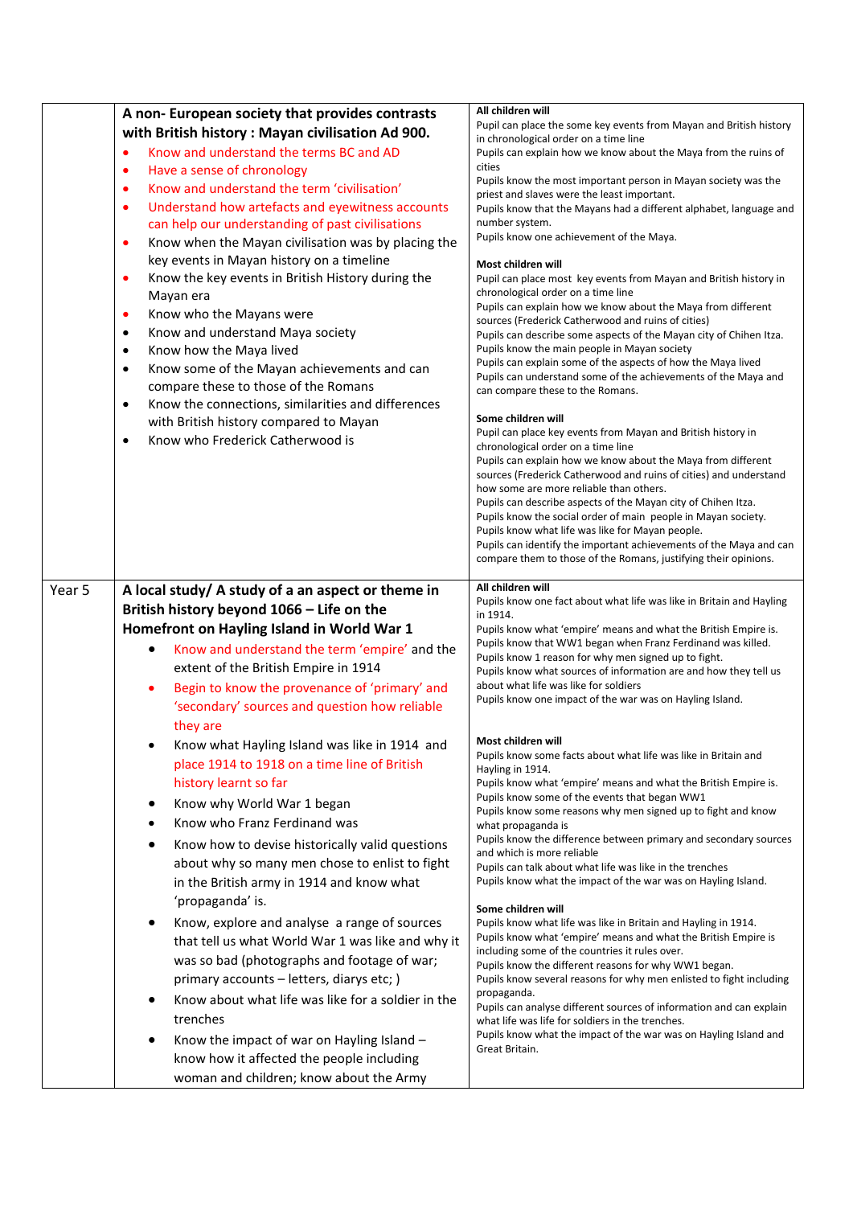|        | A non-European society that provides contrasts<br>with British history: Mayan civilisation Ad 900.<br>Know and understand the terms BC and AD<br>$\bullet$<br>Have a sense of chronology<br>$\bullet$<br>Know and understand the term 'civilisation'<br>٠<br>Understand how artefacts and eyewitness accounts<br>$\bullet$<br>can help our understanding of past civilisations<br>Know when the Mayan civilisation was by placing the<br>$\bullet$<br>key events in Mayan history on a timeline<br>Know the key events in British History during the<br>$\bullet$<br>Mayan era<br>Know who the Mayans were<br>$\bullet$<br>Know and understand Maya society<br>$\bullet$<br>Know how the Maya lived<br>$\bullet$<br>Know some of the Mayan achievements and can<br>$\bullet$<br>compare these to those of the Romans                                       | All children will<br>Pupil can place the some key events from Mayan and British history<br>in chronological order on a time line<br>Pupils can explain how we know about the Maya from the ruins of<br>cities<br>Pupils know the most important person in Mayan society was the<br>priest and slaves were the least important.<br>Pupils know that the Mayans had a different alphabet, language and<br>number system.<br>Pupils know one achievement of the Maya.<br>Most children will<br>Pupil can place most key events from Mayan and British history in<br>chronological order on a time line<br>Pupils can explain how we know about the Maya from different<br>sources (Frederick Catherwood and ruins of cities)<br>Pupils can describe some aspects of the Mayan city of Chihen Itza.<br>Pupils know the main people in Mayan society<br>Pupils can explain some of the aspects of how the Maya lived<br>Pupils can understand some of the achievements of the Maya and                                                                                                                                                                                                                                    |
|--------|------------------------------------------------------------------------------------------------------------------------------------------------------------------------------------------------------------------------------------------------------------------------------------------------------------------------------------------------------------------------------------------------------------------------------------------------------------------------------------------------------------------------------------------------------------------------------------------------------------------------------------------------------------------------------------------------------------------------------------------------------------------------------------------------------------------------------------------------------------|----------------------------------------------------------------------------------------------------------------------------------------------------------------------------------------------------------------------------------------------------------------------------------------------------------------------------------------------------------------------------------------------------------------------------------------------------------------------------------------------------------------------------------------------------------------------------------------------------------------------------------------------------------------------------------------------------------------------------------------------------------------------------------------------------------------------------------------------------------------------------------------------------------------------------------------------------------------------------------------------------------------------------------------------------------------------------------------------------------------------------------------------------------------------------------------------------------------------|
|        | Know the connections, similarities and differences<br>$\bullet$<br>with British history compared to Mayan<br>Know who Frederick Catherwood is<br>$\bullet$                                                                                                                                                                                                                                                                                                                                                                                                                                                                                                                                                                                                                                                                                                 | can compare these to the Romans.<br>Some children will<br>Pupil can place key events from Mayan and British history in<br>chronological order on a time line<br>Pupils can explain how we know about the Maya from different<br>sources (Frederick Catherwood and ruins of cities) and understand<br>how some are more reliable than others.<br>Pupils can describe aspects of the Mayan city of Chihen Itza.<br>Pupils know the social order of main people in Mayan society.<br>Pupils know what life was like for Mayan people.<br>Pupils can identify the important achievements of the Maya and can<br>compare them to those of the Romans, justifying their opinions.<br>All children will                                                                                                                                                                                                                                                                                                                                                                                                                                                                                                                     |
| Year 5 | A local study/ A study of a an aspect or theme in<br>British history beyond 1066 - Life on the<br>Homefront on Hayling Island in World War 1<br>Know and understand the term 'empire' and the<br>extent of the British Empire in 1914<br>Begin to know the provenance of 'primary' and<br>'secondary' sources and question how reliable<br>they are<br>Know what Hayling Island was like in 1914 and<br>place 1914 to 1918 on a time line of British<br>history learnt so far<br>Know why World War 1 began<br>٠<br>Know who Franz Ferdinand was<br>$\bullet$<br>Know how to devise historically valid questions<br>$\bullet$<br>about why so many men chose to enlist to fight<br>in the British army in 1914 and know what<br>'propaganda' is.<br>Know, explore and analyse a range of sources<br>٠<br>that tell us what World War 1 was like and why it | Pupils know one fact about what life was like in Britain and Hayling<br>in 1914.<br>Pupils know what 'empire' means and what the British Empire is.<br>Pupils know that WW1 began when Franz Ferdinand was killed.<br>Pupils know 1 reason for why men signed up to fight.<br>Pupils know what sources of information are and how they tell us<br>about what life was like for soldiers<br>Pupils know one impact of the war was on Hayling Island.<br>Most children will<br>Pupils know some facts about what life was like in Britain and<br>Hayling in 1914.<br>Pupils know what 'empire' means and what the British Empire is.<br>Pupils know some of the events that began WW1<br>Pupils know some reasons why men signed up to fight and know<br>what propaganda is<br>Pupils know the difference between primary and secondary sources<br>and which is more reliable<br>Pupils can talk about what life was like in the trenches<br>Pupils know what the impact of the war was on Hayling Island.<br>Some children will<br>Pupils know what life was like in Britain and Hayling in 1914.<br>Pupils know what 'empire' means and what the British Empire is<br>including some of the countries it rules over. |
|        | was so bad (photographs and footage of war;<br>primary accounts - letters, diarys etc; )<br>Know about what life was like for a soldier in the<br>trenches<br>Know the impact of war on Hayling Island -<br>know how it affected the people including<br>woman and children; know about the Army                                                                                                                                                                                                                                                                                                                                                                                                                                                                                                                                                           | Pupils know the different reasons for why WW1 began.<br>Pupils know several reasons for why men enlisted to fight including<br>propaganda.<br>Pupils can analyse different sources of information and can explain<br>what life was life for soldiers in the trenches.<br>Pupils know what the impact of the war was on Hayling Island and<br>Great Britain.                                                                                                                                                                                                                                                                                                                                                                                                                                                                                                                                                                                                                                                                                                                                                                                                                                                          |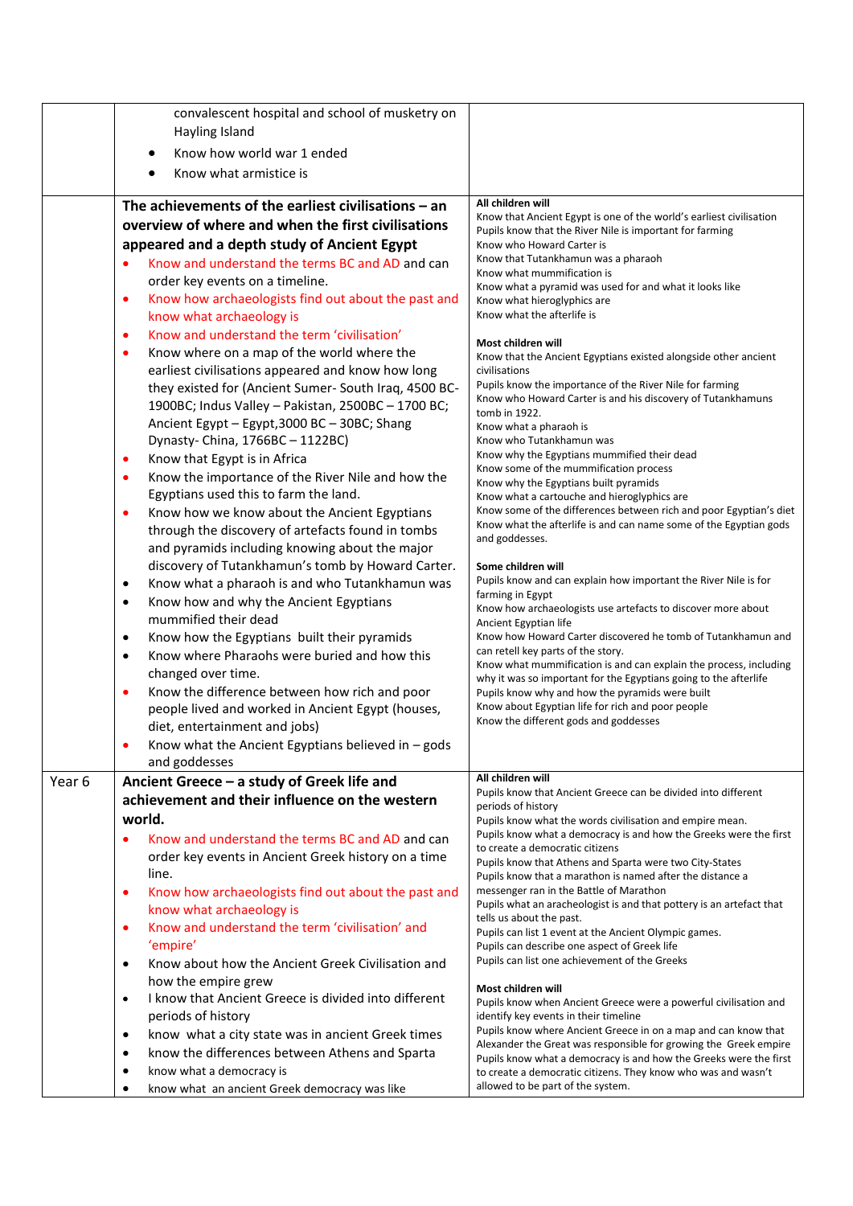|                   | convalescent hospital and school of musketry on                                                                 |                                                                                                                                         |
|-------------------|-----------------------------------------------------------------------------------------------------------------|-----------------------------------------------------------------------------------------------------------------------------------------|
|                   | Hayling Island                                                                                                  |                                                                                                                                         |
|                   | Know how world war 1 ended                                                                                      |                                                                                                                                         |
|                   | Know what armistice is                                                                                          |                                                                                                                                         |
|                   |                                                                                                                 |                                                                                                                                         |
|                   | The achievements of the earliest civilisations $-$ an                                                           | All children will<br>Know that Ancient Egypt is one of the world's earliest civilisation                                                |
|                   | overview of where and when the first civilisations                                                              | Pupils know that the River Nile is important for farming                                                                                |
|                   | appeared and a depth study of Ancient Egypt                                                                     | Know who Howard Carter is                                                                                                               |
|                   | Know and understand the terms BC and AD and can                                                                 | Know that Tutankhamun was a pharaoh<br>Know what mummification is                                                                       |
|                   | order key events on a timeline.                                                                                 | Know what a pyramid was used for and what it looks like                                                                                 |
|                   | Know how archaeologists find out about the past and<br>$\bullet$                                                | Know what hieroglyphics are                                                                                                             |
|                   | know what archaeology is                                                                                        | Know what the afterlife is                                                                                                              |
|                   | Know and understand the term 'civilisation'<br>$\bullet$                                                        | Most children will                                                                                                                      |
|                   | Know where on a map of the world where the<br>¢                                                                 | Know that the Ancient Egyptians existed alongside other ancient                                                                         |
|                   | earliest civilisations appeared and know how long                                                               | civilisations                                                                                                                           |
|                   | they existed for (Ancient Sumer-South Iraq, 4500 BC-                                                            | Pupils know the importance of the River Nile for farming                                                                                |
|                   | 1900BC; Indus Valley - Pakistan, 2500BC - 1700 BC;                                                              | Know who Howard Carter is and his discovery of Tutankhamuns<br>tomb in 1922.                                                            |
|                   | Ancient Egypt - Egypt, 3000 BC - 30BC; Shang                                                                    | Know what a pharaoh is                                                                                                                  |
|                   | Dynasty- China, 1766BC - 1122BC)                                                                                | Know who Tutankhamun was                                                                                                                |
|                   | Know that Egypt is in Africa<br>٠                                                                               | Know why the Egyptians mummified their dead<br>Know some of the mummification process                                                   |
|                   | Know the importance of the River Nile and how the<br>$\bullet$                                                  | Know why the Egyptians built pyramids                                                                                                   |
|                   | Egyptians used this to farm the land.                                                                           | Know what a cartouche and hieroglyphics are                                                                                             |
|                   | Know how we know about the Ancient Egyptians<br>¢                                                               | Know some of the differences between rich and poor Egyptian's diet<br>Know what the afterlife is and can name some of the Egyptian gods |
|                   | through the discovery of artefacts found in tombs                                                               | and goddesses.                                                                                                                          |
|                   | and pyramids including knowing about the major                                                                  |                                                                                                                                         |
|                   | discovery of Tutankhamun's tomb by Howard Carter.                                                               | Some children will                                                                                                                      |
|                   | Know what a pharaoh is and who Tutankhamun was<br>$\bullet$                                                     | Pupils know and can explain how important the River Nile is for<br>farming in Egypt                                                     |
|                   | Know how and why the Ancient Egyptians<br>$\bullet$                                                             | Know how archaeologists use artefacts to discover more about                                                                            |
|                   | mummified their dead                                                                                            | Ancient Egyptian life                                                                                                                   |
|                   | Know how the Egyptians built their pyramids<br>$\bullet$                                                        | Know how Howard Carter discovered he tomb of Tutankhamun and<br>can retell key parts of the story.                                      |
|                   | Know where Pharaohs were buried and how this<br>$\bullet$                                                       | Know what mummification is and can explain the process, including                                                                       |
|                   | changed over time.                                                                                              | why it was so important for the Egyptians going to the afterlife                                                                        |
|                   | Know the difference between how rich and poor<br>$\bullet$<br>people lived and worked in Ancient Egypt (houses, | Pupils know why and how the pyramids were built<br>Know about Egyptian life for rich and poor people                                    |
|                   | diet, entertainment and jobs)                                                                                   | Know the different gods and goddesses                                                                                                   |
|                   | Know what the Ancient Egyptians believed in - gods                                                              |                                                                                                                                         |
|                   | and goddesses                                                                                                   |                                                                                                                                         |
| Year <sub>6</sub> | Ancient Greece - a study of Greek life and                                                                      | All children will                                                                                                                       |
|                   | achievement and their influence on the western                                                                  | Pupils know that Ancient Greece can be divided into different<br>periods of history                                                     |
|                   | world.                                                                                                          | Pupils know what the words civilisation and empire mean.                                                                                |
|                   | Know and understand the terms BC and AD and can<br>$\bullet$                                                    | Pupils know what a democracy is and how the Greeks were the first                                                                       |
|                   | order key events in Ancient Greek history on a time                                                             | to create a democratic citizens                                                                                                         |
|                   | line.                                                                                                           | Pupils know that Athens and Sparta were two City-States<br>Pupils know that a marathon is named after the distance a                    |
|                   | Know how archaeologists find out about the past and<br>$\bullet$                                                | messenger ran in the Battle of Marathon                                                                                                 |
|                   | know what archaeology is                                                                                        | Pupils what an aracheologist is and that pottery is an artefact that                                                                    |
|                   | Know and understand the term 'civilisation' and<br>$\bullet$                                                    | tells us about the past.<br>Pupils can list 1 event at the Ancient Olympic games.                                                       |
|                   | 'empire'                                                                                                        | Pupils can describe one aspect of Greek life                                                                                            |
|                   | Know about how the Ancient Greek Civilisation and<br>$\bullet$                                                  | Pupils can list one achievement of the Greeks                                                                                           |
|                   | how the empire grew                                                                                             |                                                                                                                                         |
|                   | I know that Ancient Greece is divided into different<br>$\bullet$                                               | Most children will<br>Pupils know when Ancient Greece were a powerful civilisation and                                                  |
|                   | periods of history                                                                                              | identify key events in their timeline                                                                                                   |
|                   | know what a city state was in ancient Greek times<br>٠                                                          | Pupils know where Ancient Greece in on a map and can know that                                                                          |
|                   | know the differences between Athens and Sparta<br>$\bullet$                                                     | Alexander the Great was responsible for growing the Greek empire<br>Pupils know what a democracy is and how the Greeks were the first   |
|                   | know what a democracy is<br>٠                                                                                   | to create a democratic citizens. They know who was and wasn't                                                                           |
|                   | know what an ancient Greek democracy was like<br>$\bullet$                                                      | allowed to be part of the system.                                                                                                       |